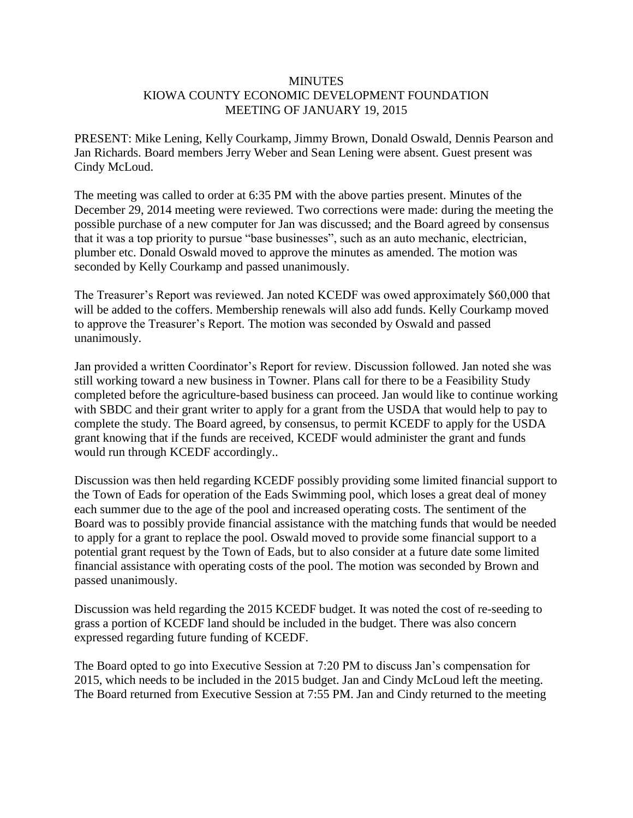## **MINUTES** KIOWA COUNTY ECONOMIC DEVELOPMENT FOUNDATION MEETING OF JANUARY 19, 2015

PRESENT: Mike Lening, Kelly Courkamp, Jimmy Brown, Donald Oswald, Dennis Pearson and Jan Richards. Board members Jerry Weber and Sean Lening were absent. Guest present was Cindy McLoud.

The meeting was called to order at 6:35 PM with the above parties present. Minutes of the December 29, 2014 meeting were reviewed. Two corrections were made: during the meeting the possible purchase of a new computer for Jan was discussed; and the Board agreed by consensus that it was a top priority to pursue "base businesses", such as an auto mechanic, electrician, plumber etc. Donald Oswald moved to approve the minutes as amended. The motion was seconded by Kelly Courkamp and passed unanimously.

The Treasurer's Report was reviewed. Jan noted KCEDF was owed approximately \$60,000 that will be added to the coffers. Membership renewals will also add funds. Kelly Courkamp moved to approve the Treasurer's Report. The motion was seconded by Oswald and passed unanimously.

Jan provided a written Coordinator's Report for review. Discussion followed. Jan noted she was still working toward a new business in Towner. Plans call for there to be a Feasibility Study completed before the agriculture-based business can proceed. Jan would like to continue working with SBDC and their grant writer to apply for a grant from the USDA that would help to pay to complete the study. The Board agreed, by consensus, to permit KCEDF to apply for the USDA grant knowing that if the funds are received, KCEDF would administer the grant and funds would run through KCEDF accordingly..

Discussion was then held regarding KCEDF possibly providing some limited financial support to the Town of Eads for operation of the Eads Swimming pool, which loses a great deal of money each summer due to the age of the pool and increased operating costs. The sentiment of the Board was to possibly provide financial assistance with the matching funds that would be needed to apply for a grant to replace the pool. Oswald moved to provide some financial support to a potential grant request by the Town of Eads, but to also consider at a future date some limited financial assistance with operating costs of the pool. The motion was seconded by Brown and passed unanimously.

Discussion was held regarding the 2015 KCEDF budget. It was noted the cost of re-seeding to grass a portion of KCEDF land should be included in the budget. There was also concern expressed regarding future funding of KCEDF.

The Board opted to go into Executive Session at 7:20 PM to discuss Jan's compensation for 2015, which needs to be included in the 2015 budget. Jan and Cindy McLoud left the meeting. The Board returned from Executive Session at 7:55 PM. Jan and Cindy returned to the meeting